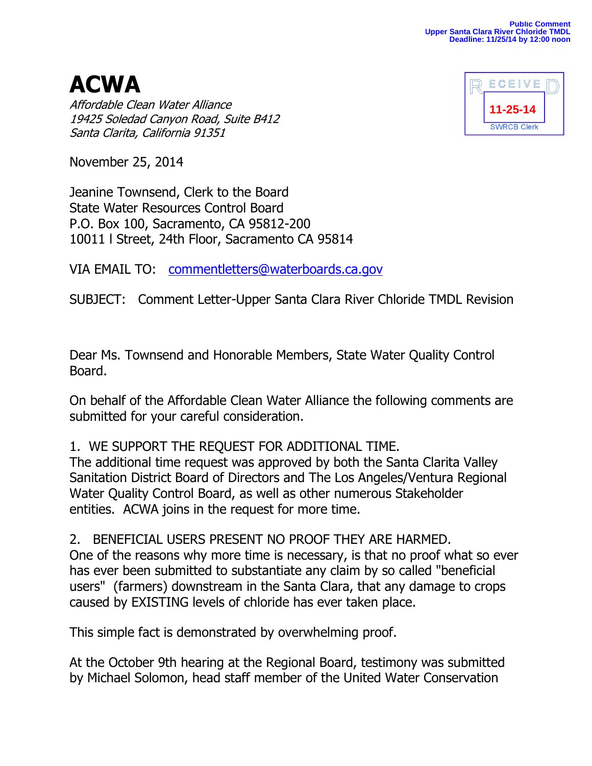**ACWA** Affordable Clean Water Alliance 19425 Soledad Canyon Road, Suite B412 Santa Clarita, California 91351



November 25, 2014

Jeanine Townsend, Clerk to the Board State Water Resources Control Board P.O. Box 100, Sacramento, CA 95812-200 10011 l Street, 24th Floor, Sacramento CA 95814

VIA EMAIL TO: [commentletters@waterboards.ca.gov](mailto:commentletters@waterboards.ca.gov)

SUBJECT: Comment Letter-Upper Santa Clara River Chloride TMDL Revision

Dear Ms. Townsend and Honorable Members, State Water Quality Control Board.

On behalf of the Affordable Clean Water Alliance the following comments are submitted for your careful consideration.

## 1. WE SUPPORT THE REQUEST FOR ADDITIONAL TIME.

The additional time request was approved by both the Santa Clarita Valley Sanitation District Board of Directors and The Los Angeles/Ventura Regional Water Quality Control Board, as well as other numerous Stakeholder entities. ACWA joins in the request for more time.

2. BENEFICIAL USERS PRESENT NO PROOF THEY ARE HARMED. One of the reasons why more time is necessary, is that no proof what so ever has ever been submitted to substantiate any claim by so called "beneficial users" (farmers) downstream in the Santa Clara, that any damage to crops caused by EXISTING levels of chloride has ever taken place.

This simple fact is demonstrated by overwhelming proof.

At the October 9th hearing at the Regional Board, testimony was submitted by Michael Solomon, head staff member of the United Water Conservation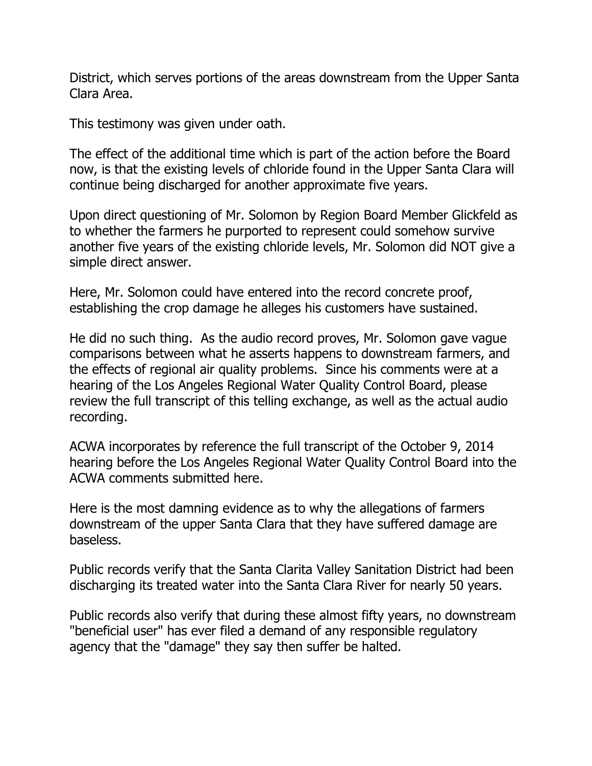District, which serves portions of the areas downstream from the Upper Santa Clara Area.

This testimony was given under oath.

The effect of the additional time which is part of the action before the Board now, is that the existing levels of chloride found in the Upper Santa Clara will continue being discharged for another approximate five years.

Upon direct questioning of Mr. Solomon by Region Board Member Glickfeld as to whether the farmers he purported to represent could somehow survive another five years of the existing chloride levels, Mr. Solomon did NOT give a simple direct answer.

Here, Mr. Solomon could have entered into the record concrete proof, establishing the crop damage he alleges his customers have sustained.

He did no such thing. As the audio record proves, Mr. Solomon gave vague comparisons between what he asserts happens to downstream farmers, and the effects of regional air quality problems. Since his comments were at a hearing of the Los Angeles Regional Water Quality Control Board, please review the full transcript of this telling exchange, as well as the actual audio recording.

ACWA incorporates by reference the full transcript of the October 9, 2014 hearing before the Los Angeles Regional Water Quality Control Board into the ACWA comments submitted here.

Here is the most damning evidence as to why the allegations of farmers downstream of the upper Santa Clara that they have suffered damage are baseless.

Public records verify that the Santa Clarita Valley Sanitation District had been discharging its treated water into the Santa Clara River for nearly 50 years.

Public records also verify that during these almost fifty years, no downstream "beneficial user" has ever filed a demand of any responsible regulatory agency that the "damage" they say then suffer be halted.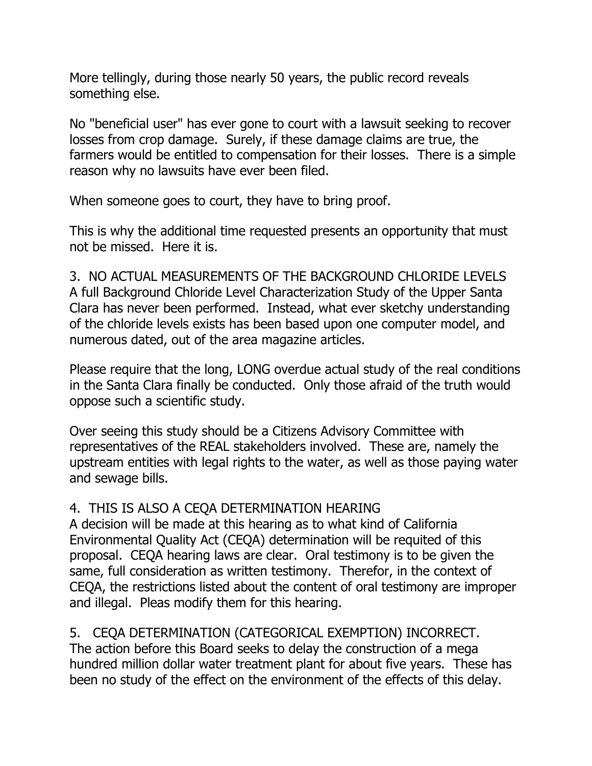More tellingly, during those nearly 50 years, the public record reveals something else.

No "beneficial user" has ever gone to court with a lawsuit seeking to recover losses from crop damage. Surely, if these damage claims are true, the farmers would be entitled to compensation for their losses. There is a simple reason why no lawsuits have ever been filed.

When someone goes to court, they have to bring proof.

This is why the additional time requested presents an opportunity that must not be missed. Here it is.

3. NO ACTUAL MEASUREMENTS OF THE BACKGROUND CHLORIDE LEVELS A full Background Chloride Level Characterization Study of the Upper Santa Clara has never been performed. Instead, what ever sketchy understanding of the chloride levels exists has been based upon one computer model, and numerous dated, out of the area magazine articles.

Please require that the long, LONG overdue actual study of the real conditions in the Santa Clara finally be conducted. Only those afraid of the truth would oppose such a scientific study.

Over seeing this study should be a Citizens Advisory Committee with representatives of the REAL stakeholders involved. These are, namely the upstream entities with legal rights to the water, as well as those paying water and sewage bills.

## 4. THIS IS ALSO A CEQA DETERMINATION HEARING

A decision will be made at this hearing as to what kind of California Environmental Quality Act (CEQA) determination will be requited of this proposal. CEQA hearing laws are clear. Oral testimony is to be given the same, full consideration as written testimony. Therefor, in the context of CEQA, the restrictions listed about the content of oral testimony are improper and illegal. Pleas modify them for this hearing.

5. CEQA DETERMINATION (CATEGORICAL EXEMPTION) INCORRECT. The action before this Board seeks to delay the construction of a mega hundred million dollar water treatment plant for about five years. These has been no study of the effect on the environment of the effects of this delay.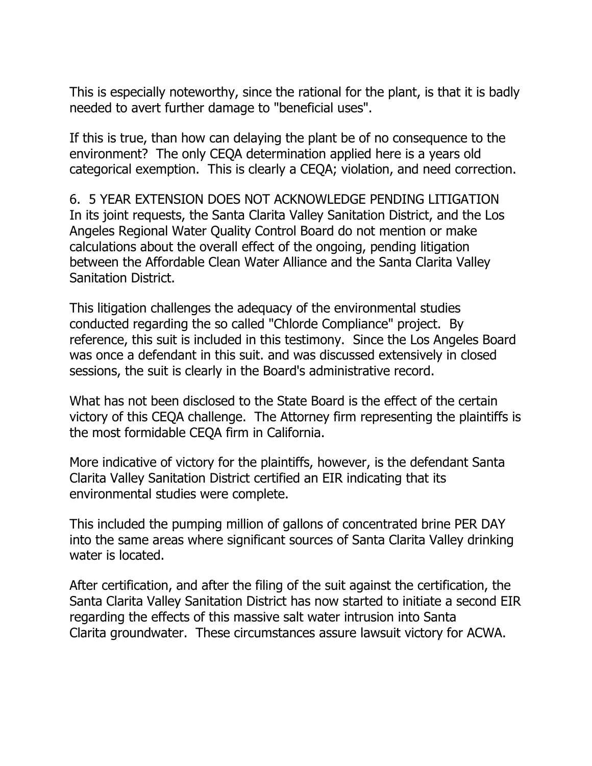This is especially noteworthy, since the rational for the plant, is that it is badly needed to avert further damage to "beneficial uses".

If this is true, than how can delaying the plant be of no consequence to the environment? The only CEQA determination applied here is a years old categorical exemption. This is clearly a CEQA; violation, and need correction.

6. 5 YEAR EXTENSION DOES NOT ACKNOWLEDGE PENDING LITIGATION In its joint requests, the Santa Clarita Valley Sanitation District, and the Los Angeles Regional Water Quality Control Board do not mention or make calculations about the overall effect of the ongoing, pending litigation between the Affordable Clean Water Alliance and the Santa Clarita Valley Sanitation District.

This litigation challenges the adequacy of the environmental studies conducted regarding the so called "Chlorde Compliance" project. By reference, this suit is included in this testimony. Since the Los Angeles Board was once a defendant in this suit. and was discussed extensively in closed sessions, the suit is clearly in the Board's administrative record.

What has not been disclosed to the State Board is the effect of the certain victory of this CEQA challenge. The Attorney firm representing the plaintiffs is the most formidable CEQA firm in California.

More indicative of victory for the plaintiffs, however, is the defendant Santa Clarita Valley Sanitation District certified an EIR indicating that its environmental studies were complete.

This included the pumping million of gallons of concentrated brine PER DAY into the same areas where significant sources of Santa Clarita Valley drinking water is located.

After certification, and after the filing of the suit against the certification, the Santa Clarita Valley Sanitation District has now started to initiate a second EIR regarding the effects of this massive salt water intrusion into Santa Clarita groundwater. These circumstances assure lawsuit victory for ACWA.